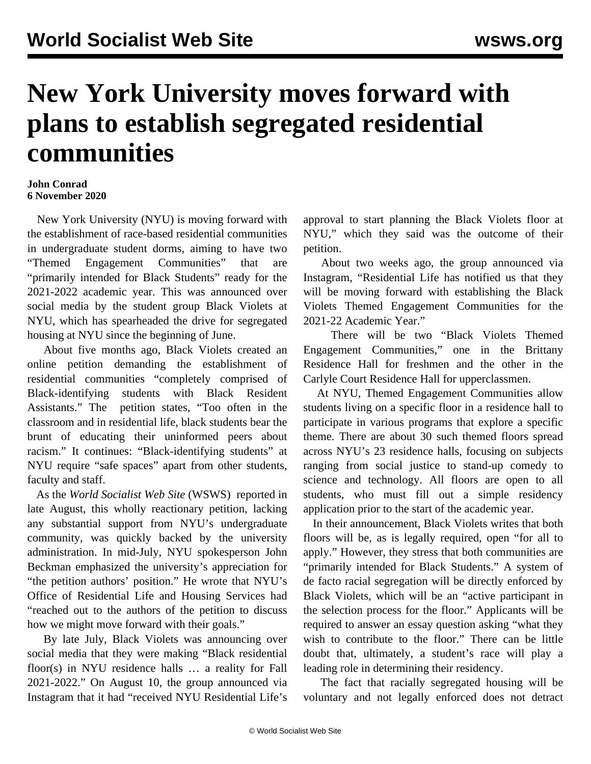## **New York University moves forward with plans to establish segregated residential communities**

## **John Conrad 6 November 2020**

 New York University (NYU) is moving forward with the establishment of race-based residential communities in undergraduate student dorms, aiming to have two "Themed Engagement Communities" that are "primarily intended for Black Students" ready for the 2021-2022 academic year. This was announced over social media by the student group Black Violets at NYU, which has spearheaded the drive for segregated housing at NYU since the beginning of June.

 About five months ago, Black Violets created an online petition demanding the establishment of residential communities "completely comprised of Black-identifying students with Black Resident Assistants." The [petition](https://www.change.org/p/black-student-housing-at-nyu?recruiter=547793693&utm_source=share_petition&utm_medium=twitter&utm_campaign=psf_combo_share_initial&utm_term=psf_combo_share_abi&recruited_by_id=47da5cd0-2369-11e6-9735-7b37f23fe2df) states, "Too often in the classroom and in residential life, black students bear the brunt of educating their uninformed peers about racism." It continues: "Black-identifying students" at NYU require "safe spaces" apart from other students, faculty and staff.

 As the *World Socialist Web Site* (WSWS) [reported in](/en/articles/2020/08/24/nyur-a24.html) [late August](/en/articles/2020/08/24/nyur-a24.html), this wholly reactionary petition, lacking any substantial support from NYU's undergraduate community, was quickly backed by the university administration. In mid-July, NYU spokesperson John Beckman emphasized the university's appreciation for "the petition authors' position." He wrote that NYU's Office of Residential Life and Housing Services had "reached out to the authors of the petition to discuss how we might move forward with their goals."

 By late July, Black Violets was announcing over social media that they were making "Black residential floor(s) in NYU residence halls … a reality for Fall 2021-2022." On August 10, the group announced via Instagram that it had "received NYU Residential Life's approval to start planning the Black Violets floor at NYU," which they said was the outcome of their petition.

 About two weeks ago, the group announced via Instagram, "Residential Life has notified us that they will be moving forward with establishing the Black Violets Themed Engagement Communities for the 2021-22 Academic Year."

 There will be two "Black Violets Themed Engagement Communities," one in the Brittany Residence Hall for freshmen and the other in the Carlyle Court Residence Hall for upperclassmen.

 At NYU, Themed Engagement Communities allow students living on a specific floor in a residence hall to participate in various programs that explore a specific theme. There are about 30 such themed floors spread across NYU's 23 residence halls, focusing on subjects ranging from social justice to stand-up comedy to science and technology. All floors are open to all students, who must fill out a simple residency application prior to the start of the academic year.

 In their announcement, Black Violets writes that both floors will be, as is legally required, open "for all to apply." However, they stress that both communities are "primarily intended for Black Students." A system of de facto racial segregation will be directly enforced by Black Violets, which will be an "active participant in the selection process for the floor." Applicants will be required to answer an essay question asking "what they wish to contribute to the floor." There can be little doubt that, ultimately, a student's race will play a leading role in determining their residency.

 The fact that racially segregated housing will be voluntary and not legally enforced does not detract